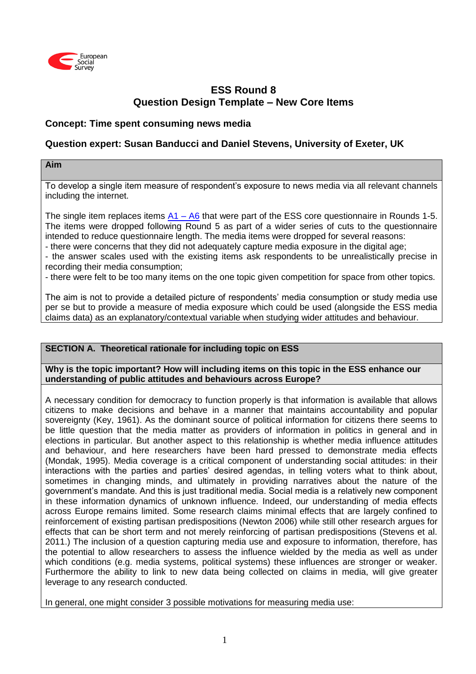

# **ESS Round 8 Question Design Template – New Core Items**

## **Concept: Time spent consuming news media**

## **Question expert: Susan Banducci and Daniel Stevens, University of Exeter, UK**

#### **Aim**

To develop a single item measure of respondent's exposure to news media via all relevant channels including the internet.

The single item replaces items  $A1 - A6$  that were part of the ESS core questionnaire in Rounds 1-5. The items were dropped following Round 5 as part of a wider series of cuts to the questionnaire intended to reduce questionnaire length. The media items were dropped for several reasons:

- there were concerns that they did not adequately capture media exposure in the digital age;

- the answer scales used with the existing items ask respondents to be unrealistically precise in recording their media consumption;

- there were felt to be too many items on the one topic given competition for space from other topics.

The aim is not to provide a detailed picture of respondents' media consumption or study media use per se but to provide a measure of media exposure which could be used (alongside the ESS media claims data) as an explanatory/contextual variable when studying wider attitudes and behaviour.

### **SECTION A. Theoretical rationale for including topic on ESS**

**Why is the topic important? How will including items on this topic in the ESS enhance our understanding of public attitudes and behaviours across Europe?**

A necessary condition for democracy to function properly is that information is available that allows citizens to make decisions and behave in a manner that maintains accountability and popular sovereignty (Key, 1961). As the dominant source of political information for citizens there seems to be little question that the media matter as providers of information in politics in general and in elections in particular. But another aspect to this relationship is whether media influence attitudes and behaviour, and here researchers have been hard pressed to demonstrate media effects (Mondak, 1995). Media coverage is a critical component of understanding social attitudes: in their interactions with the parties and parties' desired agendas, in telling voters what to think about, sometimes in changing minds, and ultimately in providing narratives about the nature of the government's mandate. And this is just traditional media. Social media is a relatively new component in these information dynamics of unknown influence. Indeed, our understanding of media effects across Europe remains limited. Some research claims minimal effects that are largely confined to reinforcement of existing partisan predispositions (Newton 2006) while still other research argues for effects that can be short term and not merely reinforcing of partisan predispositions (Stevens et al. 2011.) The inclusion of a question capturing media use and exposure to information, therefore, has the potential to allow researchers to assess the influence wielded by the media as well as under which conditions (e.g. media systems, political systems) these influences are stronger or weaker. Furthermore the ability to link to new data being collected on claims in media, will give greater leverage to any research conducted.

In general, one might consider 3 possible motivations for measuring media use: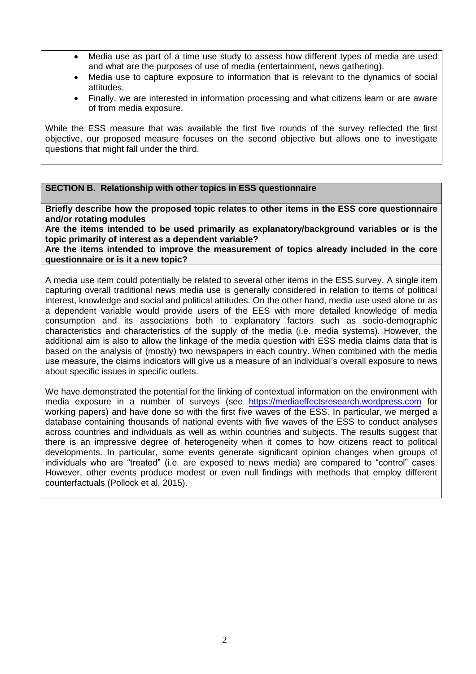- Media use as part of a time use study to assess how different types of media are used and what are the purposes of use of media (entertainment, news gathering).
- Media use to capture exposure to information that is relevant to the dynamics of social attitudes.
- Finally, we are interested in information processing and what citizens learn or are aware of from media exposure.

While the ESS measure that was available the first five rounds of the survey reflected the first objective, our proposed measure focuses on the second objective but allows one to investigate questions that might fall under the third.

#### **SECTION B. Relationship with other topics in ESS questionnaire**

**Briefly describe how the proposed topic relates to other items in the ESS core questionnaire and/or rotating modules** 

**Are the items intended to be used primarily as explanatory/background variables or is the topic primarily of interest as a dependent variable?**

**Are the items intended to improve the measurement of topics already included in the core questionnaire or is it a new topic?**

A media use item could potentially be related to several other items in the ESS survey. A single item capturing overall traditional news media use is generally considered in relation to items of political interest, knowledge and social and political attitudes. On the other hand, media use used alone or as a dependent variable would provide users of the EES with more detailed knowledge of media consumption and its associations both to explanatory factors such as socio-demographic characteristics and characteristics of the supply of the media (i.e. media systems). However, the additional aim is also to allow the linkage of the media question with ESS media claims data that is based on the analysis of (mostly) two newspapers in each country. When combined with the media use measure, the claims indicators will give us a measure of an individual's overall exposure to news about specific issues in specific outlets.

We have demonstrated the potential for the linking of contextual information on the environment with media exposure in a number of surveys (see [https://mediaeffectsresearch.wordpress.com](https://mediaeffectsresearch.wordpress.com/) for working papers) and have done so with the first five waves of the ESS. In particular, we merged a database containing thousands of national events with five waves of the ESS to conduct analyses across countries and individuals as well as within countries and subjects. The results suggest that there is an impressive degree of heterogeneity when it comes to how citizens react to political developments. In particular, some events generate significant opinion changes when groups of individuals who are "treated" (i.e. are exposed to news media) are compared to "control" cases. However, other events produce modest or even null findings with methods that employ different counterfactuals (Pollock et al, 2015).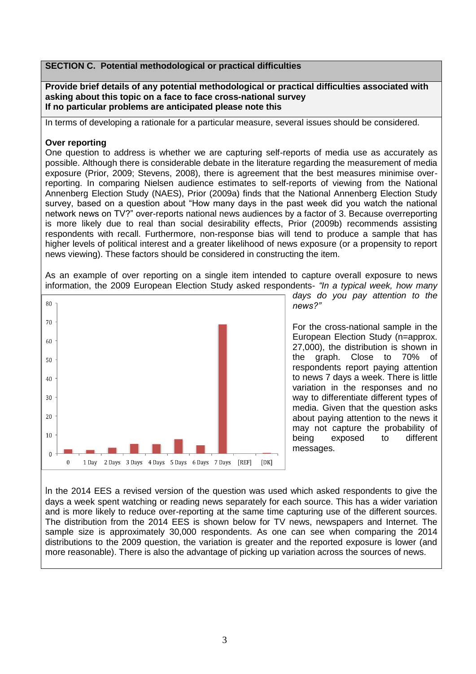### **SECTION C. Potential methodological or practical difficulties**

**Provide brief details of any potential methodological or practical difficulties associated with asking about this topic on a face to face cross-national survey If no particular problems are anticipated please note this**

In terms of developing a rationale for a particular measure, several issues should be considered.

#### **Over reporting**

One question to address is whether we are capturing self-reports of media use as accurately as possible. Although there is considerable debate in the literature regarding the measurement of media exposure (Prior, 2009; Stevens, 2008), there is agreement that the best measures minimise overreporting. In comparing Nielsen audience estimates to self-reports of viewing from the National Annenberg Election Study (NAES), Prior (2009a) finds that the National Annenberg Election Study survey, based on a question about "How many days in the past week did you watch the national network news on TV?" over-reports national news audiences by a factor of 3. Because overreporting is more likely due to real than social desirability effects, Prior (2009b) recommends assisting respondents with recall. Furthermore, non-response bias will tend to produce a sample that has higher levels of political interest and a greater likelihood of news exposure (or a propensity to report news viewing). These factors should be considered in constructing the item.

As an example of over reporting on a single item intended to capture overall exposure to news information, the 2009 European Election Study asked respondents- *"In a typical week, how many* 



*days do you pay attention to the news?"*

For the cross-national sample in the European Election Study (n=approx. 27,000), the distribution is shown in the graph. Close to 70% of respondents report paying attention to news 7 days a week. There is little variation in the responses and no way to differentiate different types of media. Given that the question asks about paying attention to the news it may not capture the probability of being exposed to different messages.

In the 2014 EES a revised version of the question was used which asked respondents to give the days a week spent watching or reading news separately for each source. This has a wider variation and is more likely to reduce over-reporting at the same time capturing use of the different sources. The distribution from the 2014 EES is shown below for TV news, newspapers and Internet. The sample size is approximately 30,000 respondents. As one can see when comparing the 2014 distributions to the 2009 question, the variation is greater and the reported exposure is lower (and more reasonable). There is also the advantage of picking up variation across the sources of news.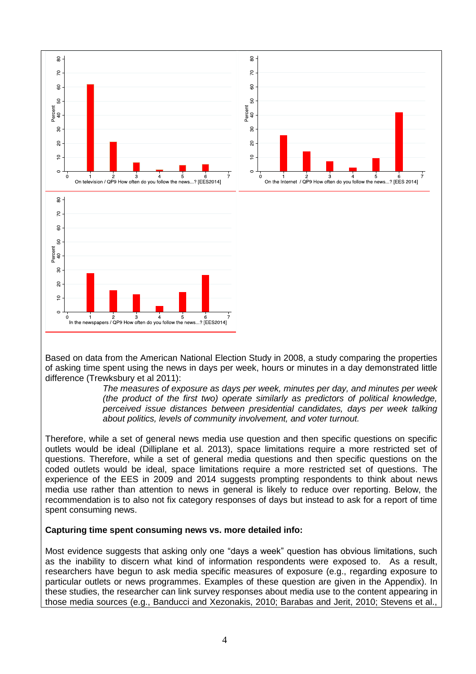

Based on data from the American National Election Study in 2008, a study comparing the properties of asking time spent using the news in days per week, hours or minutes in a day demonstrated little difference (Trewksbury et al 2011):

> *The measures of exposure as days per week, minutes per day, and minutes per week (the product of the first two) operate similarly as predictors of political knowledge, perceived issue distances between presidential candidates, days per week talking about politics, levels of community involvement, and voter turnout.*

Therefore, while a set of general news media use question and then specific questions on specific outlets would be ideal (Dilliplane et al. 2013), space limitations require a more restricted set of questions. Therefore, while a set of general media questions and then specific questions on the coded outlets would be ideal, space limitations require a more restricted set of questions. The experience of the EES in 2009 and 2014 suggests prompting respondents to think about news media use rather than attention to news in general is likely to reduce over reporting. Below, the recommendation is to also not fix category responses of days but instead to ask for a report of time spent consuming news.

### **Capturing time spent consuming news vs. more detailed info:**

Most evidence suggests that asking only one "days a week" question has obvious limitations, such as the inability to discern what kind of information respondents were exposed to. As a result, researchers have begun to ask media specific measures of exposure (e.g., regarding exposure to particular outlets or news programmes. Examples of these question are given in the Appendix). In these studies, the researcher can link survey responses about media use to the content appearing in those media sources (e.g., Banducci and Xezonakis, 2010; Barabas and Jerit, 2010; Stevens et al.,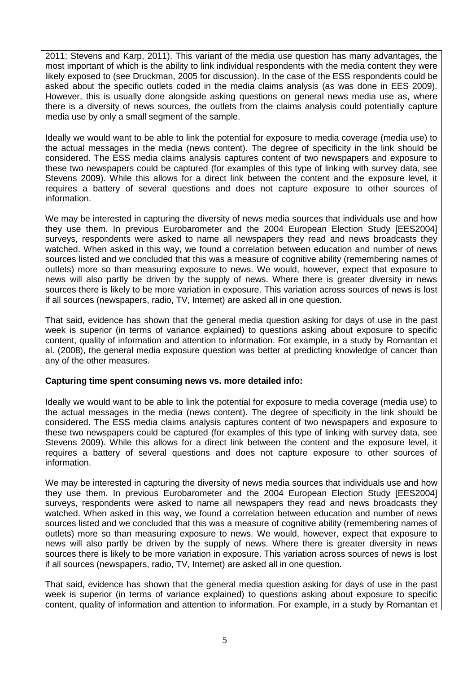2011; Stevens and Karp, 2011). This variant of the media use question has many advantages, the most important of which is the ability to link individual respondents with the media content they were likely exposed to (see Druckman, 2005 for discussion). In the case of the ESS respondents could be asked about the specific outlets coded in the media claims analysis (as was done in EES 2009). However, this is usually done alongside asking questions on general news media use as, where there is a diversity of news sources, the outlets from the claims analysis could potentially capture media use by only a small segment of the sample.

Ideally we would want to be able to link the potential for exposure to media coverage (media use) to the actual messages in the media (news content). The degree of specificity in the link should be considered. The ESS media claims analysis captures content of two newspapers and exposure to these two newspapers could be captured (for examples of this type of linking with survey data, see Stevens 2009). While this allows for a direct link between the content and the exposure level, it requires a battery of several questions and does not capture exposure to other sources of information.

We may be interested in capturing the diversity of news media sources that individuals use and how they use them. In previous Eurobarometer and the 2004 European Election Study [EES2004] surveys, respondents were asked to name all newspapers they read and news broadcasts they watched. When asked in this way, we found a correlation between education and number of news sources listed and we concluded that this was a measure of cognitive ability (remembering names of outlets) more so than measuring exposure to news. We would, however, expect that exposure to news will also partly be driven by the supply of news. Where there is greater diversity in news sources there is likely to be more variation in exposure. This variation across sources of news is lost if all sources (newspapers, radio, TV, Internet) are asked all in one question.

That said, evidence has shown that the general media question asking for days of use in the past week is superior (in terms of variance explained) to questions asking about exposure to specific content, quality of information and attention to information. For example, in a study by Romantan et al. (2008), the general media exposure question was better at predicting knowledge of cancer than any of the other measures.

### **Capturing time spent consuming news vs. more detailed info:**

Ideally we would want to be able to link the potential for exposure to media coverage (media use) to the actual messages in the media (news content). The degree of specificity in the link should be considered. The ESS media claims analysis captures content of two newspapers and exposure to these two newspapers could be captured (for examples of this type of linking with survey data, see Stevens 2009). While this allows for a direct link between the content and the exposure level, it requires a battery of several questions and does not capture exposure to other sources of information.

We may be interested in capturing the diversity of news media sources that individuals use and how they use them. In previous Eurobarometer and the 2004 European Election Study [EES2004] surveys, respondents were asked to name all newspapers they read and news broadcasts they watched. When asked in this way, we found a correlation between education and number of news sources listed and we concluded that this was a measure of cognitive ability (remembering names of outlets) more so than measuring exposure to news. We would, however, expect that exposure to news will also partly be driven by the supply of news. Where there is greater diversity in news sources there is likely to be more variation in exposure. This variation across sources of news is lost if all sources (newspapers, radio, TV, Internet) are asked all in one question.

That said, evidence has shown that the general media question asking for days of use in the past week is superior (in terms of variance explained) to questions asking about exposure to specific content, quality of information and attention to information. For example, in a study by Romantan et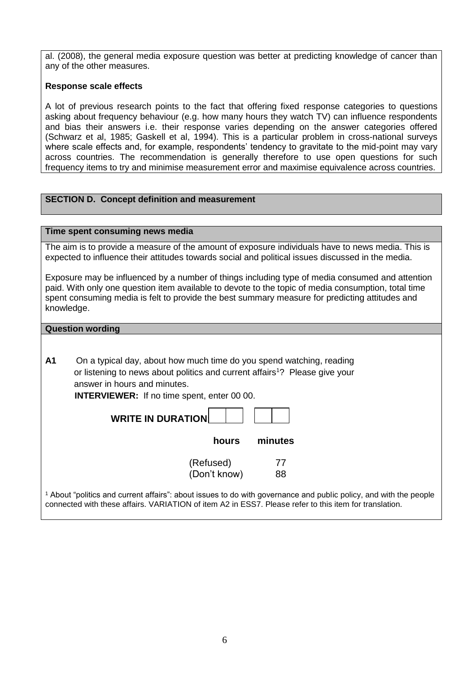al. (2008), the general media exposure question was better at predicting knowledge of cancer than any of the other measures.

#### **Response scale effects**

A lot of previous research points to the fact that offering fixed response categories to questions asking about frequency behaviour (e.g. how many hours they watch TV) can influence respondents and bias their answers i.e. their response varies depending on the answer categories offered (Schwarz et al, 1985; Gaskell et al, 1994). This is a particular problem in cross-national surveys where scale effects and, for example, respondents' tendency to gravitate to the mid-point may vary across countries. The recommendation is generally therefore to use open questions for such frequency items to try and minimise measurement error and maximise equivalence across countries.

## **SECTION D. Concept definition and measurement**

#### **Time spent consuming news media**

The aim is to provide a measure of the amount of exposure individuals have to news media. This is expected to influence their attitudes towards social and political issues discussed in the media.

Exposure may be influenced by a number of things including type of media consumed and attention paid. With only one question item available to devote to the topic of media consumption, total time spent consuming media is felt to provide the best summary measure for predicting attitudes and knowledge.

#### **Question wording**

**A1** On a typical day, about how much time do you spend watching, reading or listening to news about politics and current affairs<sup>1</sup>? Please give your answer in hours and minutes.

**INTERVIEWER:** If no time spent, enter 00 00.

| <b>WRITE IN DURATION!</b> |  |  |  |  |
|---------------------------|--|--|--|--|
|---------------------------|--|--|--|--|

| minutes<br>hours |
|------------------|
|------------------|

| (Refused)    | 77 |
|--------------|----|
| (Don't know) | 88 |

<sup>1</sup> About "politics and current affairs": about issues to do with governance and public policy, and with the people connected with these affairs. VARIATION of item A2 in ESS7. Please refer to this item for translation.